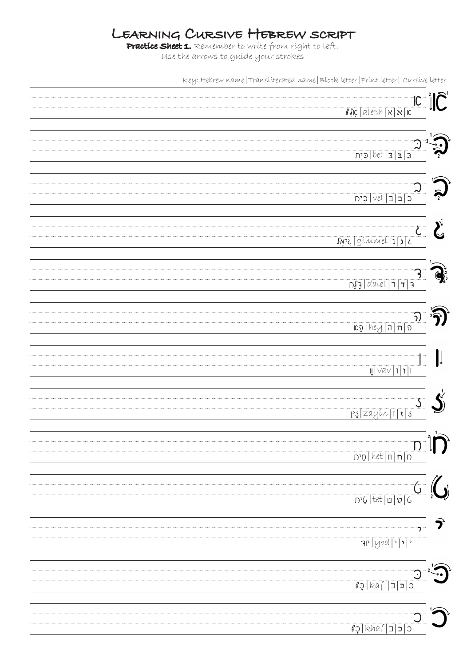## Learning Cursive Hebrew script

Practice Sheet 1. Remember to write from right to left. Use the arrows to guide your strokes

Key: Hebrew name|Transliterated name|Block letter|Print letter| Cursive letter

| $ C^{-2} $<br>$\frac{1}{8}$ $\frac{1}{8}$ $\frac{1}{8}$ $\frac{1}{8}$ $\frac{1}{8}$ $\frac{1}{8}$ $\frac{1}{8}$ $\frac{1}{8}$ $\frac{1}{8}$ $\frac{1}{8}$ $\frac{1}{8}$                                                                                                                                                                                                                                               | $\tilde{\bm{\mathsf{C}}}$ |
|-----------------------------------------------------------------------------------------------------------------------------------------------------------------------------------------------------------------------------------------------------------------------------------------------------------------------------------------------------------------------------------------------------------------------|---------------------------|
| $\frac{1}{2} \mathbb{C}^{\frac{1}{2}}  =  \mathbb{C}^{\frac{1}{2}} $                                                                                                                                                                                                                                                                                                                                                  |                           |
|                                                                                                                                                                                                                                                                                                                                                                                                                       |                           |
| snz   gimmel   1   1   2                                                                                                                                                                                                                                                                                                                                                                                              | $\sum_{i=1}^{n}$          |
| $\frac{1}{2}  q =  1 $                                                                                                                                                                                                                                                                                                                                                                                                |                           |
| $\frac{1}{\frac{1}{1-\frac{1}{1-\frac{1}{1-\frac{1}{1-\frac{1}{1-\frac{1}{1-\frac{1}{1-\frac{1}{1-\frac{1}{1-\frac{1}{1-\frac{1}{1-\frac{1}{1-\frac{1}{1-\frac{1}{1-\frac{1}{1-\frac{1}{1-\frac{1}{1-\frac{1}{1-\frac{1}{1-\frac{1}{1-\frac{1}{1-\frac{1}{1-\frac{1}{1-\frac{1}{1-\frac{1}{1-\frac{1}{1-\frac{1}{1-\frac{1}{1-\frac{1}{1-\frac{1}{1-\frac{1}{1-\frac{1}{1-\frac{1}{1-\frac{1}{1-\frac{1}{1-\frac{1}{$ |                           |
| $\frac{1}{2} \nabla \alpha \nabla  1 $                                                                                                                                                                                                                                                                                                                                                                                | $\mathfrak l$             |
| $\frac{1}{2}$ e   zayín   1   3                                                                                                                                                                                                                                                                                                                                                                                       |                           |
| $\mathsf{D}_{\mathbb{Z}}$<br>ח ח זו <sup>  het</sup> סית                                                                                                                                                                                                                                                                                                                                                              | $\prod$                   |
| $\int_{\mathbb{R}^n}$<br>$D^2$ ל פון פון דו לא לית                                                                                                                                                                                                                                                                                                                                                                    |                           |
|                                                                                                                                                                                                                                                                                                                                                                                                                       |                           |
| $g\circ$  kaf  $\exists$   $\circ$                                                                                                                                                                                                                                                                                                                                                                                    |                           |
| $s$ c c c c af c8                                                                                                                                                                                                                                                                                                                                                                                                     |                           |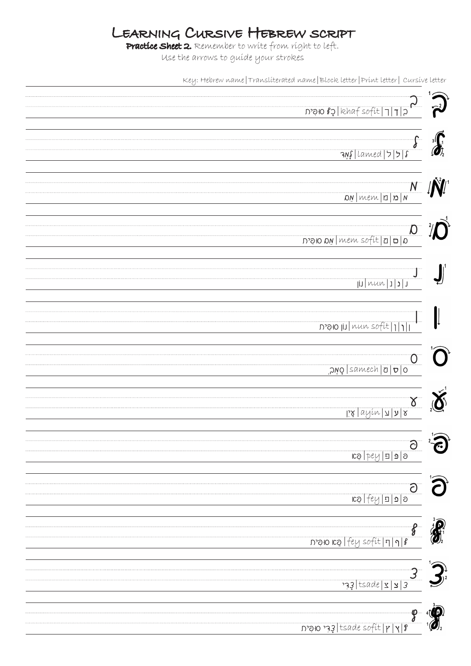## Learning Cursive Hebrew script

Practice Sheet 2. Remember to write from right to left. Use the arrows to guide your strokes

Key: Hebrew name|Transliterated name|Block letter|Print letter| Cursive letter

| D'OBJ Rhafsofit 7 7 2                                                                                                                                                                                                                                                                                                                                                                        |            |
|----------------------------------------------------------------------------------------------------------------------------------------------------------------------------------------------------------------------------------------------------------------------------------------------------------------------------------------------------------------------------------------------|------------|
|                                                                                                                                                                                                                                                                                                                                                                                              |            |
|                                                                                                                                                                                                                                                                                                                                                                                              |            |
|                                                                                                                                                                                                                                                                                                                                                                                              |            |
|                                                                                                                                                                                                                                                                                                                                                                                              |            |
| $3\sqrt{2}$  camed 2 3 8                                                                                                                                                                                                                                                                                                                                                                     |            |
|                                                                                                                                                                                                                                                                                                                                                                                              |            |
|                                                                                                                                                                                                                                                                                                                                                                                              |            |
|                                                                                                                                                                                                                                                                                                                                                                                              |            |
| $\frac{N}{\frac{N}{N}\left\lceil \frac{N}{N}\right\rceil}$                                                                                                                                                                                                                                                                                                                                   |            |
|                                                                                                                                                                                                                                                                                                                                                                                              |            |
|                                                                                                                                                                                                                                                                                                                                                                                              |            |
|                                                                                                                                                                                                                                                                                                                                                                                              |            |
|                                                                                                                                                                                                                                                                                                                                                                                              |            |
|                                                                                                                                                                                                                                                                                                                                                                                              |            |
|                                                                                                                                                                                                                                                                                                                                                                                              |            |
| O                                                                                                                                                                                                                                                                                                                                                                                            |            |
|                                                                                                                                                                                                                                                                                                                                                                                              |            |
|                                                                                                                                                                                                                                                                                                                                                                                              |            |
|                                                                                                                                                                                                                                                                                                                                                                                              |            |
| I J                                                                                                                                                                                                                                                                                                                                                                                          |            |
|                                                                                                                                                                                                                                                                                                                                                                                              |            |
|                                                                                                                                                                                                                                                                                                                                                                                              |            |
|                                                                                                                                                                                                                                                                                                                                                                                              |            |
|                                                                                                                                                                                                                                                                                                                                                                                              |            |
| n'alo III nun sofit                                                                                                                                                                                                                                                                                                                                                                          |            |
|                                                                                                                                                                                                                                                                                                                                                                                              |            |
|                                                                                                                                                                                                                                                                                                                                                                                              |            |
|                                                                                                                                                                                                                                                                                                                                                                                              |            |
|                                                                                                                                                                                                                                                                                                                                                                                              |            |
| O aluech D D O                                                                                                                                                                                                                                                                                                                                                                               |            |
|                                                                                                                                                                                                                                                                                                                                                                                              |            |
|                                                                                                                                                                                                                                                                                                                                                                                              |            |
|                                                                                                                                                                                                                                                                                                                                                                                              |            |
| $\alpha$                                                                                                                                                                                                                                                                                                                                                                                     |            |
| $\frac{1}{2} \frac{1}{2} \frac{1}{2} \frac{1}{2} \frac{1}{2} \frac{1}{2} \frac{1}{2} \frac{1}{2} \frac{1}{2} \frac{1}{2} \frac{1}{2} \frac{1}{2} \frac{1}{2} \frac{1}{2} \frac{1}{2} \frac{1}{2} \frac{1}{2} \frac{1}{2} \frac{1}{2} \frac{1}{2} \frac{1}{2} \frac{1}{2} \frac{1}{2} \frac{1}{2} \frac{1}{2} \frac{1}{2} \frac{1}{2} \frac{1}{2} \frac{1}{2} \frac{1}{2} \frac{1}{2} \frac{$ |            |
|                                                                                                                                                                                                                                                                                                                                                                                              |            |
|                                                                                                                                                                                                                                                                                                                                                                                              |            |
|                                                                                                                                                                                                                                                                                                                                                                                              |            |
| $\rm \ddot{\mathcal{O}}$                                                                                                                                                                                                                                                                                                                                                                     | <b>80)</b> |
| $ cos b\sqrt{h}  =  a $ 9                                                                                                                                                                                                                                                                                                                                                                    |            |
|                                                                                                                                                                                                                                                                                                                                                                                              |            |
|                                                                                                                                                                                                                                                                                                                                                                                              |            |
| $\overline{\partial}$                                                                                                                                                                                                                                                                                                                                                                        |            |
| $ log fey  =  g $ ס                                                                                                                                                                                                                                                                                                                                                                          |            |
|                                                                                                                                                                                                                                                                                                                                                                                              |            |
|                                                                                                                                                                                                                                                                                                                                                                                              |            |
|                                                                                                                                                                                                                                                                                                                                                                                              |            |
|                                                                                                                                                                                                                                                                                                                                                                                              |            |
| 9  1  7  30 kg  67 cofit                                                                                                                                                                                                                                                                                                                                                                     |            |
|                                                                                                                                                                                                                                                                                                                                                                                              |            |
|                                                                                                                                                                                                                                                                                                                                                                                              |            |
|                                                                                                                                                                                                                                                                                                                                                                                              |            |
| $\overline{\phantom{a}3}$                                                                                                                                                                                                                                                                                                                                                                    |            |
|                                                                                                                                                                                                                                                                                                                                                                                              |            |
|                                                                                                                                                                                                                                                                                                                                                                                              |            |
|                                                                                                                                                                                                                                                                                                                                                                                              |            |
|                                                                                                                                                                                                                                                                                                                                                                                              |            |
| — ©                                                                                                                                                                                                                                                                                                                                                                                          |            |
| $\frac{1}{\sqrt{2}}$   tsade sofit   p   y   8                                                                                                                                                                                                                                                                                                                                               |            |
|                                                                                                                                                                                                                                                                                                                                                                                              |            |